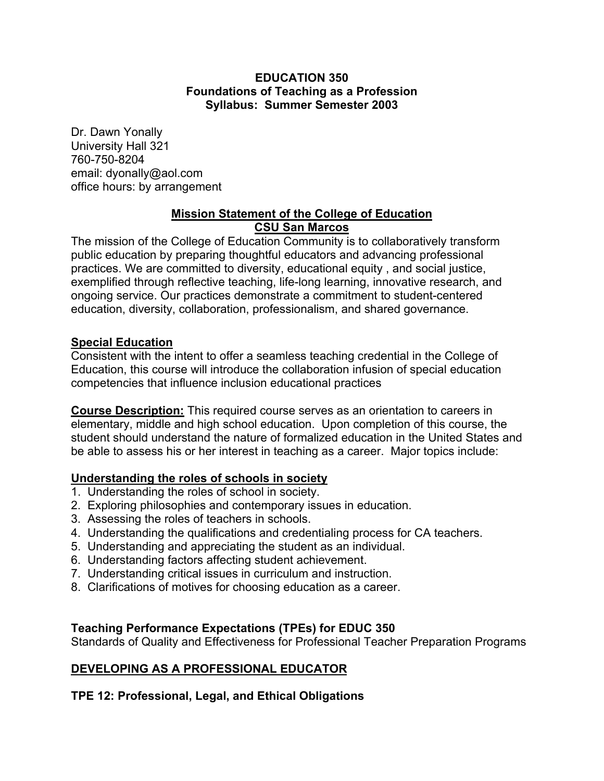### **EDUCATION 350 Foundations of Teaching as a Profession Syllabus: Summer Semester 2003**

Dr. Dawn Yonally University Hall 321 760-750-8204 email: dyonally@aol.com office hours: by arrangement

### **Mission Statement of the College of Education CSU San Marcos**

The mission of the College of Education Community is to collaboratively transform public education by preparing thoughtful educators and advancing professional practices. We are committed to diversity, educational equity , and social justice, exemplified through reflective teaching, life-long learning, innovative research, and ongoing service. Our practices demonstrate a commitment to student-centered education, diversity, collaboration, professionalism, and shared governance.

### **Special Education**

Consistent with the intent to offer a seamless teaching credential in the College of Education, this course will introduce the collaboration infusion of special education competencies that influence inclusion educational practices

**Course Description:** This required course serves as an orientation to careers in elementary, middle and high school education. Upon completion of this course, the student should understand the nature of formalized education in the United States and be able to assess his or her interest in teaching as a career. Major topics include:

## **Understanding the roles of schools in society**

- 1. Understanding the roles of school in society.
- 2. Exploring philosophies and contemporary issues in education.
- 3. Assessing the roles of teachers in schools.
- 4. Understanding the qualifications and credentialing process for CA teachers.
- 5. Understanding and appreciating the student as an individual.
- 6. Understanding factors affecting student achievement.
- 7. Understanding critical issues in curriculum and instruction.
- 8. Clarifications of motives for choosing education as a career.

## **Teaching Performance Expectations (TPEs) for EDUC 350**

Standards of Quality and Effectiveness for Professional Teacher Preparation Programs

## **DEVELOPING AS A PROFESSIONAL EDUCATOR**

## **TPE 12: Professional, Legal, and Ethical Obligations**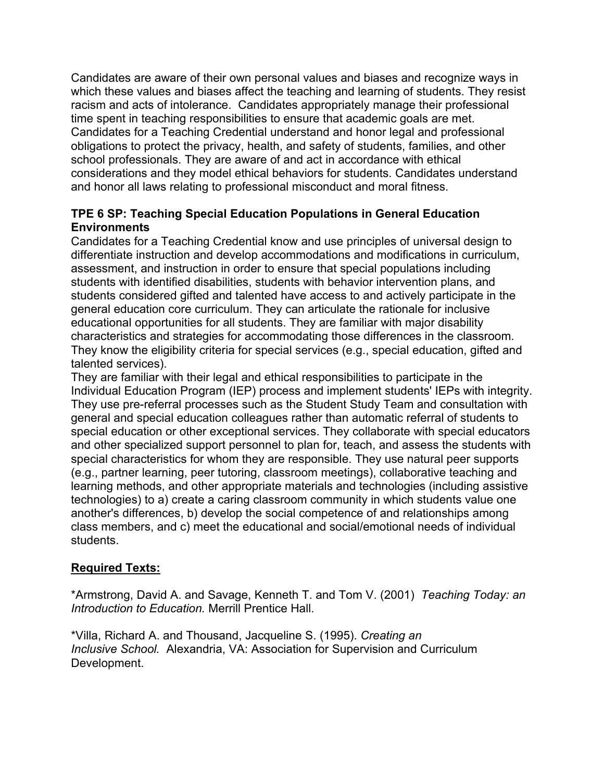Candidates are aware of their own personal values and biases and recognize ways in which these values and biases affect the teaching and learning of students. They resist racism and acts of intolerance. Candidates appropriately manage their professional time spent in teaching responsibilities to ensure that academic goals are met. Candidates for a Teaching Credential understand and honor legal and professional obligations to protect the privacy, health, and safety of students, families, and other school professionals. They are aware of and act in accordance with ethical considerations and they model ethical behaviors for students. Candidates understand and honor all laws relating to professional misconduct and moral fitness.

## **TPE 6 SP: Teaching Special Education Populations in General Education Environments**

Candidates for a Teaching Credential know and use principles of universal design to differentiate instruction and develop accommodations and modifications in curriculum, assessment, and instruction in order to ensure that special populations including students with identified disabilities, students with behavior intervention plans, and students considered gifted and talented have access to and actively participate in the general education core curriculum. They can articulate the rationale for inclusive educational opportunities for all students. They are familiar with major disability characteristics and strategies for accommodating those differences in the classroom. They know the eligibility criteria for special services (e.g., special education, gifted and talented services).

They are familiar with their legal and ethical responsibilities to participate in the Individual Education Program (IEP) process and implement students' IEPs with integrity. They use pre-referral processes such as the Student Study Team and consultation with general and special education colleagues rather than automatic referral of students to special education or other exceptional services. They collaborate with special educators and other specialized support personnel to plan for, teach, and assess the students with special characteristics for whom they are responsible. They use natural peer supports (e.g., partner learning, peer tutoring, classroom meetings), collaborative teaching and learning methods, and other appropriate materials and technologies (including assistive technologies) to a) create a caring classroom community in which students value one another's differences, b) develop the social competence of and relationships among class members, and c) meet the educational and social/emotional needs of individual students.

## **Required Texts:**

\*Armstrong, David A. and Savage, Kenneth T. and Tom V. (2001) *Teaching Today: an Introduction to Education.* Merrill Prentice Hall.

\*Villa, Richard A. and Thousand, Jacqueline S. (1995). *Creating an Inclusive School.* Alexandria, VA: Association for Supervision and Curriculum Development.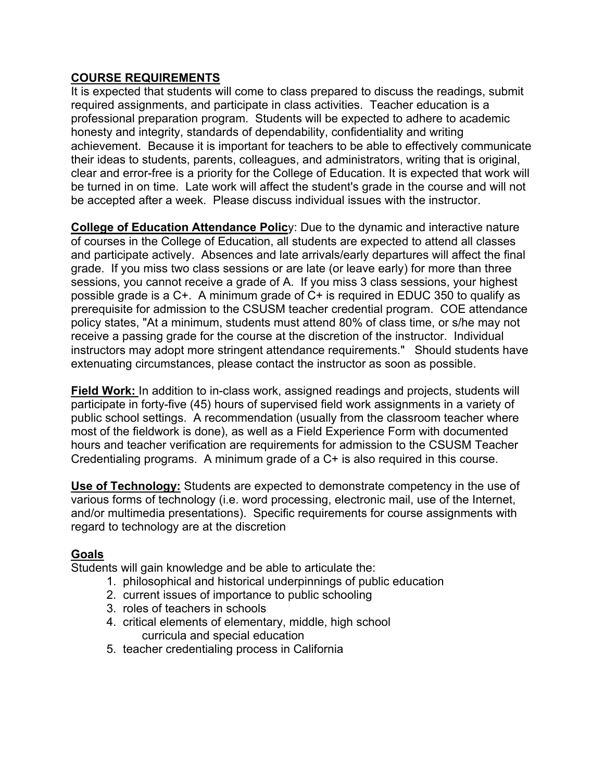## **COURSE REQUIREMENTS**

It is expected that students will come to class prepared to discuss the readings, submit required assignments, and participate in class activities. Teacher education is a professional preparation program. Students will be expected to adhere to academic honesty and integrity, standards of dependability, confidentiality and writing achievement. Because it is important for teachers to be able to effectively communicate their ideas to students, parents, colleagues, and administrators, writing that is original, clear and error-free is a priority for the College of Education. It is expected that work will be turned in on time. Late work will affect the student's grade in the course and will not be accepted after a week. Please discuss individual issues with the instructor.

**College of Education Attendance Polic**y: Due to the dynamic and interactive nature of courses in the College of Education, all students are expected to attend all classes and participate actively. Absences and late arrivals/early departures will affect the final grade. If you miss two class sessions or are late (or leave early) for more than three sessions, you cannot receive a grade of A. If you miss 3 class sessions, your highest possible grade is a C+. A minimum grade of C+ is required in EDUC 350 to qualify as prerequisite for admission to the CSUSM teacher credential program. COE attendance policy states, "At a minimum, students must attend 80% of class time, or s/he may not receive a passing grade for the course at the discretion of the instructor. Individual instructors may adopt more stringent attendance requirements." Should students have extenuating circumstances, please contact the instructor as soon as possible.

**Field Work:** In addition to in-class work, assigned readings and projects, students will participate in forty-five (45) hours of supervised field work assignments in a variety of public school settings. A recommendation (usually from the classroom teacher where most of the fieldwork is done), as well as a Field Experience Form with documented hours and teacher verification are requirements for admission to the CSUSM Teacher Credentialing programs. A minimum grade of a C+ is also required in this course.

**Use of Technology:** Students are expected to demonstrate competency in the use of various forms of technology (i.e. word processing, electronic mail, use of the Internet, and/or multimedia presentations). Specific requirements for course assignments with regard to technology are at the discretion

## **Goals**

Students will gain knowledge and be able to articulate the:

- 1. philosophical and historical underpinnings of public education
- 2. current issues of importance to public schooling
- 3. roles of teachers in schools
- 4. critical elements of elementary, middle, high school curricula and special education
- 5. teacher credentialing process in California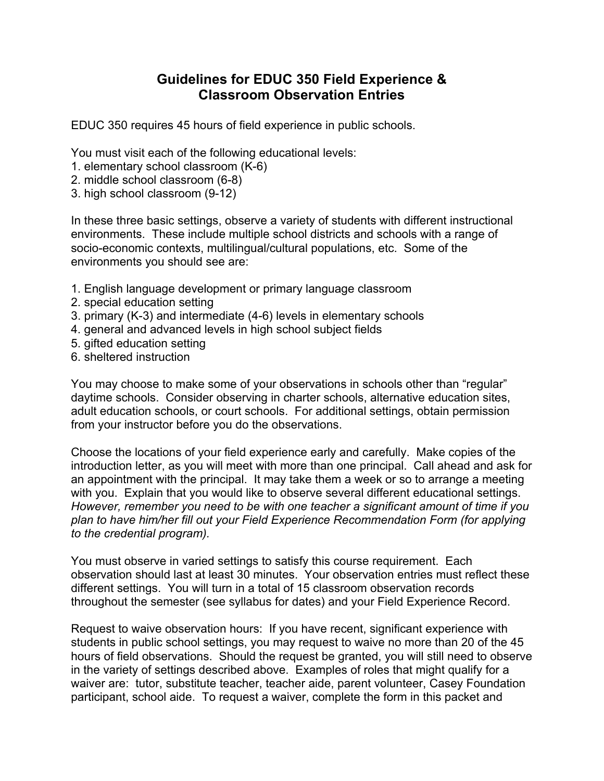## **Guidelines for EDUC 350 Field Experience & Classroom Observation Entries**

EDUC 350 requires 45 hours of field experience in public schools.

You must visit each of the following educational levels:

- 1. elementary school classroom (K-6)
- 2. middle school classroom (6-8)
- 3. high school classroom (9-12)

In these three basic settings, observe a variety of students with different instructional environments. These include multiple school districts and schools with a range of socio-economic contexts, multilingual/cultural populations, etc. Some of the environments you should see are:

- 1. English language development or primary language classroom
- 2. special education setting
- 3. primary (K-3) and intermediate (4-6) levels in elementary schools
- 4. general and advanced levels in high school subject fields
- 5. gifted education setting
- 6. sheltered instruction

You may choose to make some of your observations in schools other than "regular" daytime schools. Consider observing in charter schools, alternative education sites, adult education schools, or court schools. For additional settings, obtain permission from your instructor before you do the observations.

Choose the locations of your field experience early and carefully. Make copies of the introduction letter, as you will meet with more than one principal. Call ahead and ask for an appointment with the principal. It may take them a week or so to arrange a meeting with you. Explain that you would like to observe several different educational settings. *However, remember you need to be with one teacher a significant amount of time if you plan to have him/her fill out your Field Experience Recommendation Form (for applying to the credential program).* 

You must observe in varied settings to satisfy this course requirement. Each observation should last at least 30 minutes. Your observation entries must reflect these different settings. You will turn in a total of 15 classroom observation records throughout the semester (see syllabus for dates) and your Field Experience Record.

Request to waive observation hours: If you have recent, significant experience with students in public school settings, you may request to waive no more than 20 of the 45 hours of field observations. Should the request be granted, you will still need to observe in the variety of settings described above. Examples of roles that might qualify for a waiver are: tutor, substitute teacher, teacher aide, parent volunteer, Casey Foundation participant, school aide. To request a waiver, complete the form in this packet and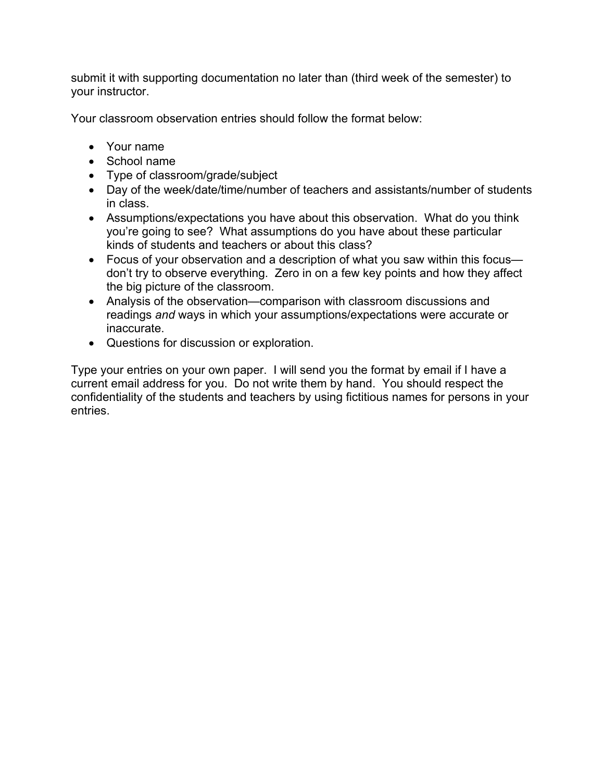submit it with supporting documentation no later than (third week of the semester) to your instructor.

Your classroom observation entries should follow the format below:

- Your name
- School name
- Type of classroom/grade/subject
- Day of the week/date/time/number of teachers and assistants/number of students in class.
- Assumptions/expectations you have about this observation. What do you think you're going to see? What assumptions do you have about these particular kinds of students and teachers or about this class?
- Focus of your observation and a description of what you saw within this focus don't try to observe everything. Zero in on a few key points and how they affect the big picture of the classroom.
- Analysis of the observation—comparison with classroom discussions and readings *and* ways in which your assumptions/expectations were accurate or inaccurate.
- Questions for discussion or exploration.

Type your entries on your own paper. I will send you the format by email if I have a current email address for you. Do not write them by hand. You should respect the confidentiality of the students and teachers by using fictitious names for persons in your entries.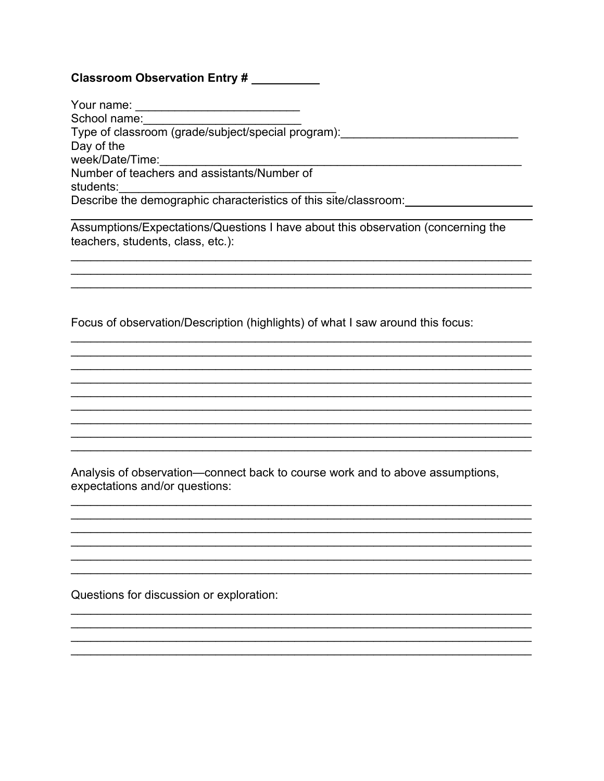### Classroom Observation Entry #

| Your name:                                                       |  |
|------------------------------------------------------------------|--|
| School name:                                                     |  |
| Type of classroom (grade/subject/special program):               |  |
| Day of the                                                       |  |
| week/Date/Time:                                                  |  |
| Number of teachers and assistants/Number of                      |  |
| students:                                                        |  |
| Describe the demographic characteristics of this site/classroom: |  |
|                                                                  |  |

Assumptions/Expectations/Questions I have about this observation (concerning the teachers, students, class, etc.):

Focus of observation/Description (highlights) of what I saw around this focus:

Analysis of observation—connect back to course work and to above assumptions, expectations and/or questions:

Questions for discussion or exploration: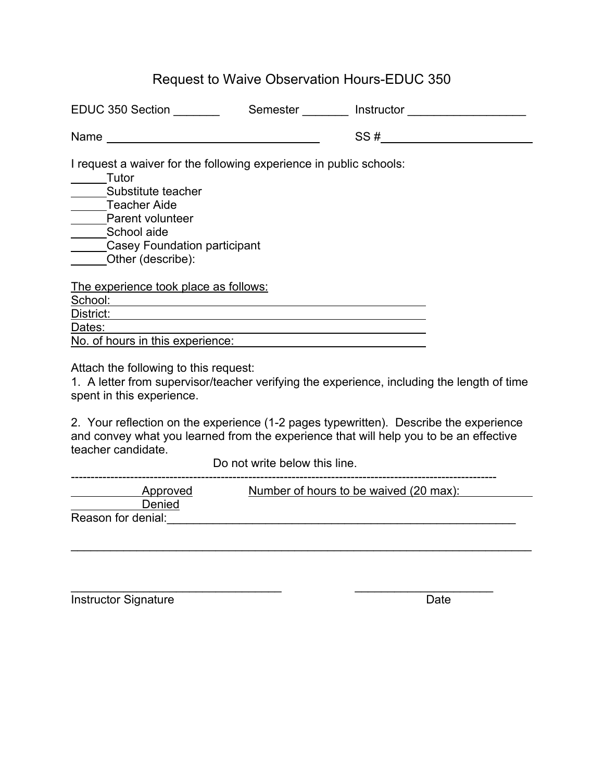# Request to Waive Observation Hours-EDUC 350

| EDUC 350 Section                                                                                                                                                                                                               | Semester | Instructor                                                                                 |
|--------------------------------------------------------------------------------------------------------------------------------------------------------------------------------------------------------------------------------|----------|--------------------------------------------------------------------------------------------|
| Name and the contract of the contract of the contract of the contract of the contract of the contract of the contract of the contract of the contract of the contract of the contract of the contract of the contract of the c |          | SS#                                                                                        |
| I request a waiver for the following experience in public schools:<br><b>Tutor</b><br>Substitute teacher<br>Teacher Aide<br>Parent volunteer<br>School aide<br><b>Casey Foundation participant</b><br>Other (describe):        |          |                                                                                            |
| <u>The experience took place as follows:</u>                                                                                                                                                                                   |          |                                                                                            |
| School:                                                                                                                                                                                                                        |          |                                                                                            |
| District:                                                                                                                                                                                                                      |          |                                                                                            |
| Dates:                                                                                                                                                                                                                         |          |                                                                                            |
| No. of hours in this experience:                                                                                                                                                                                               |          |                                                                                            |
| Attach the following to this request:<br>spent in this experience.                                                                                                                                                             |          | 1. A letter from supervisor/teacher verifying the experience, including the length of time |

2. Your reflection on the experience (1-2 pages typewritten). Describe the experience and convey what you learned from the experience that will help you to be an effective teacher candidate.

Do not write below this line.

\_\_\_\_\_\_\_\_\_\_\_\_\_\_\_\_\_\_\_\_\_\_\_\_\_\_\_\_\_\_\_\_ \_\_\_\_\_\_\_\_\_\_\_\_\_\_\_\_\_\_\_\_\_

| Approved           | Number of hours to be waived (20 max): |
|--------------------|----------------------------------------|
| Denied             |                                        |
| Reason for denial: |                                        |

\_\_\_\_\_\_\_\_\_\_\_\_\_\_\_\_\_\_\_\_\_\_\_\_\_\_\_\_\_\_\_\_\_\_\_\_\_\_\_\_\_\_\_\_\_\_\_\_\_\_\_\_\_\_\_\_\_\_\_\_\_\_\_\_\_\_\_\_\_\_

Instructor Signature Date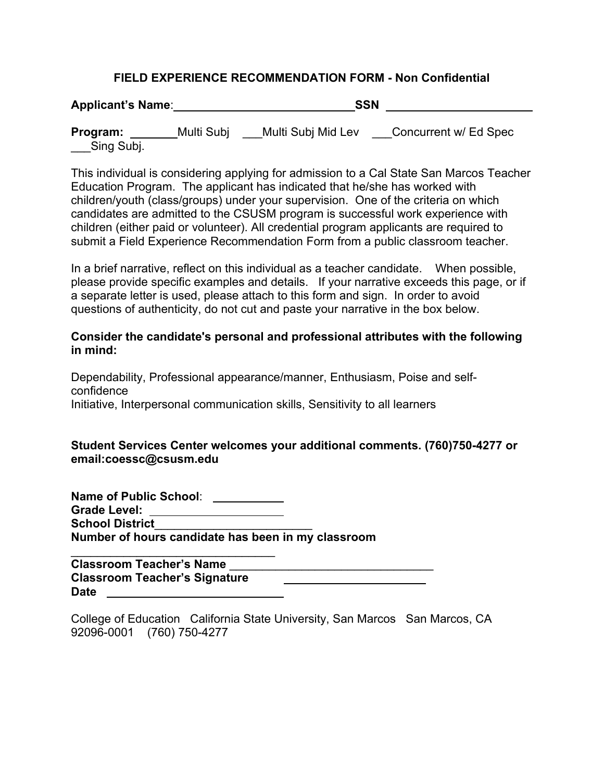### **FIELD EXPERIENCE RECOMMENDATION FORM - Non Confidential**

**Applicant's Name**: **SSN**

**Program:** Multi Subj Multi Subj Mid Lev Concurrent w/ Ed Spec Sing Subj.

This individual is considering applying for admission to a Cal State San Marcos Teacher Education Program. The applicant has indicated that he/she has worked with children/youth (class/groups) under your supervision. One of the criteria on which candidates are admitted to the CSUSM program is successful work experience with children (either paid or volunteer). All credential program applicants are required to submit a Field Experience Recommendation Form from a public classroom teacher.

In a brief narrative, reflect on this individual as a teacher candidate. When possible, please provide specific examples and details. If your narrative exceeds this page, or if a separate letter is used, please attach to this form and sign. In order to avoid questions of authenticity, do not cut and paste your narrative in the box below.

### **Consider the candidate's personal and professional attributes with the following in mind:**

Dependability, Professional appearance/manner, Enthusiasm, Poise and selfconfidence Initiative, Interpersonal communication skills, Sensitivity to all learners

### **Student Services Center welcomes your additional comments. (760)750-4277 or email:coessc@csusm.edu**

**Name of Public School**: **Grade Level: School District**\_\_\_\_\_\_\_\_\_\_\_\_\_\_\_\_\_\_\_\_\_\_\_\_ **Number of hours candidate has been in my classroom**  $\_$ 

**Classroom Teacher's Name** \_\_\_\_\_\_\_\_\_\_\_\_\_\_\_\_\_\_\_\_\_\_\_\_\_\_\_\_\_\_\_ **Classroom Teacher's Signature Date**

College of Education California State University, San Marcos San Marcos, CA 92096-0001 (760) 750-4277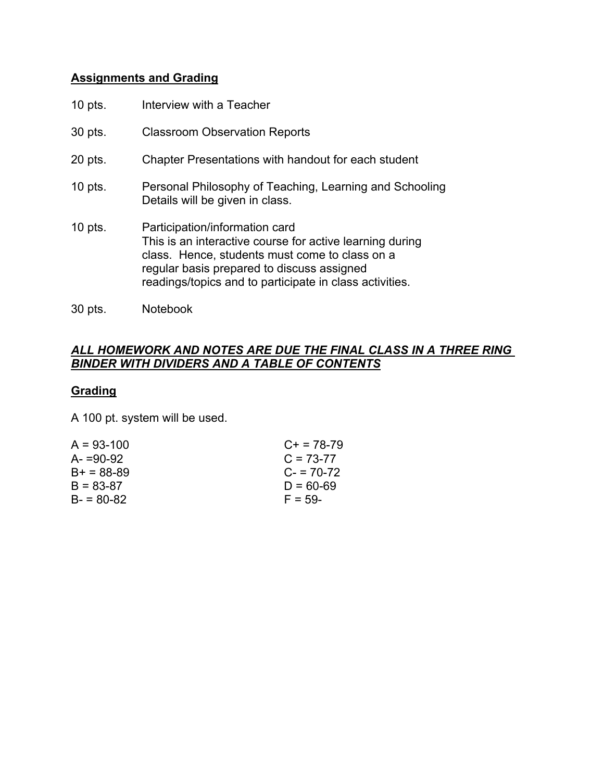## **Assignments and Grading**

| $10$ pts. | Interview with a Teacher                                                                                                                                                                                                                              |
|-----------|-------------------------------------------------------------------------------------------------------------------------------------------------------------------------------------------------------------------------------------------------------|
| 30 pts.   | <b>Classroom Observation Reports</b>                                                                                                                                                                                                                  |
| 20 pts.   | Chapter Presentations with handout for each student                                                                                                                                                                                                   |
| $10$ pts. | Personal Philosophy of Teaching, Learning and Schooling<br>Details will be given in class.                                                                                                                                                            |
| $10$ pts. | Participation/information card<br>This is an interactive course for active learning during<br>class. Hence, students must come to class on a<br>regular basis prepared to discuss assigned<br>readings/topics and to participate in class activities. |

30 pts. Notebook

### *ALL HOMEWORK AND NOTES ARE DUE THE FINAL CLASS IN A THREE RING BINDER WITH DIVIDERS AND A TABLE OF CONTENTS*

## **Grading**

A 100 pt. system will be used.

| $A = 93 - 100$ | $C_{+}$ = 78-79 |
|----------------|-----------------|
| $A = 90-92$    | $C = 73-77$     |
| $B+ = 88-89$   | $C = 70-72$     |
| $B = 83-87$    | $D = 60-69$     |
| $B - 80 - 82$  | $F = 59-$       |